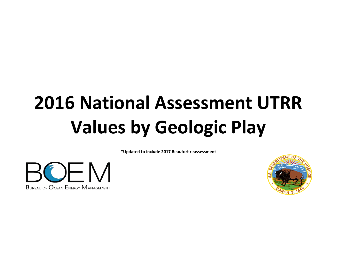# **2016 National Assessment UTRR Values by Geologic Play**

**\*Updated to include 2017 Beaufort reassessment**



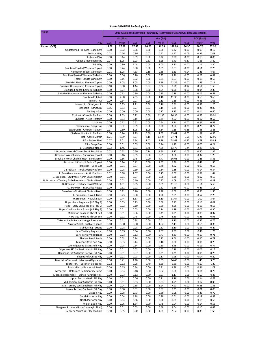| Oil (Bbbl)<br>Gas (Tcf)<br><b>BOE (Bbbl)</b><br>0.95<br>0.95<br>0.95<br>Play<br>Mean<br>0.05<br>0.05<br>Mean<br>0.05<br>Mean<br>Alaska (OCS)<br>19.09<br>27.28<br>37.43<br>96.76<br>131.55<br>167.98<br>36.30<br>50.70<br>67.32<br>0.02<br>0.03<br>Undeformed Pre-Miss. Basement<br>0.00<br>0.06<br>0.00<br>0.08<br>0.32<br>0.00<br>0.12<br>0.05<br>1.08<br><b>Endicott Play</b><br>0.03<br>0.26<br>0.80<br>0.07<br>0.52<br>1.57<br>0.35<br>0.14<br>0.69<br>0.22<br>0.98<br>0.00<br>0.18<br>Lisburne Play<br>0.00<br>0.00<br>0.86<br>Upper Ellesmerian Play<br>0.27<br>1.25<br>2.93<br>0.51<br>2.28<br>5.40<br>0.37<br>1.66<br>3.89<br>0.00<br>0.80<br>2.44<br>0.00<br>2.00<br>4.80<br>0.00<br>1.16<br>3.30<br>Rift Play<br>Brookian Faulted Western Topset<br>0.24<br>0.98<br>2.09<br>7.03<br>2.23<br>0.00<br>0.00<br>0.00<br>0.61<br>4.67<br>Nanushuk Topset Clinothem<br>0.01<br>1.08<br>4.33<br>0.18<br>0.68<br>1.89<br>0.04<br>1.21<br>0.06<br>0.20<br>0.97<br>0.00<br>0.23<br>0.81<br>Brookian Faulted Western Turbidite<br>0.00<br>0.00<br>3.46<br>0.15<br>0.52<br>0.00<br>0.00<br>0.18<br><b>Torok Turbdite Clinothem</b><br>0.00<br>0.21<br>0.63<br>0.63<br>22.86<br>7.11<br>Brookian Faulted Eastern Topset<br>0.00<br>1.05<br>3.05<br>0.00<br>9.99<br>0.00<br>2.83<br>Brookian Unstructured Eastern Topset<br>0.10<br>0.58<br>1.44<br>0.76<br>0.12<br>1.58<br>0.07<br>0.34<br>0.64<br>0.00<br>0.24<br>0.58<br>0.00<br>3.94<br>9.96<br>0.00<br>0.94<br>2.35<br>Brookian Faulted Eastern Turbidite<br>Brookian Unstructured Eastern Turbidite<br>0.00<br>0.12<br>0.39<br>0.00<br>0.25<br>0.79<br>0.00<br>0.17<br>0.53<br>0.00<br>7.63<br>0.00<br>4.16<br>0.00<br>9.65<br><b>Brookian Foldbelt</b><br>2.90<br>11.35<br>3.65<br>0.34<br>0.97<br>0.00<br>0.13<br>0.36<br>1.03<br>Tertiary - Oil<br>0.00<br>0.38<br>0.00<br>Mesozoic - Stratigraphic<br>0.00<br>0.35<br>1.11<br>0.00<br>0.16<br>0.51<br>0.00<br>0.38<br>1.20<br>Mesozoic - Structural<br>0.06<br>0.77<br>0.03<br>0.15<br>0.35<br>0.35<br>0.83<br>0.33<br>0.06<br>Tertiary - Gas<br>0.00<br>0.00<br>0.00<br>2.25<br>0.14<br>0.00<br>0.77<br>0.00<br>0.40<br>Endicott - Chukchi Platform<br>0.00<br>2.63<br>6.22<br>0.00<br>12.35<br>26.35<br>0.00<br>4.83<br>10.91<br>Endicott - Arctic Platform<br>0.00<br>0.03<br>0.15<br>0.00<br>0.49<br>2.07<br>0.00<br>0.12<br>0.52<br>0.12<br>0.52<br>0.00<br>0.54<br>2.34<br>0.00<br>0.21<br>Lisburne<br>0.00<br>0.93<br>0.02<br>0.09<br>0.00<br>0.98<br>3.54<br>0.00<br>0.20<br>0.72<br>Ellesmerian - Deep Gas<br>0.00<br>0.17<br>1.25<br>Sadlerochit - Chukchi Platform<br>0.60<br>1.08<br>4.34<br>9.18<br>0.36<br>1.38<br>2.88<br>Sadlerochit - Arctic Platform<br>0.00<br>0.74<br>2.19<br>0.00<br>4.67<br>15.41<br>0.00<br>1.57<br>4.93<br>7.97<br>Rift - Active Margin<br>1.21<br>3.89<br>4.15<br>13.24<br>27.71<br>1.95<br>6.25<br>12.90<br>9.99<br>Rift - Stable Shelf<br>0.27<br>2.01<br>5.74<br>1.42<br>28.68<br>0.52<br>3.79<br>10.84<br>Rift - Deep Gas<br>0.00<br>0.01<br>0.03<br>0.00<br>0.24<br>1.17<br>0.00<br>0.05<br>0.24<br>0.62<br>1.46<br>2.63<br>3.46<br>7.85<br>13.73<br>1.24<br>2.85<br>5.08<br>L. Brookian Foldbelt<br>4.22<br>0.05<br>L. Brookian Wrench Zone - Torok Turbidites<br>0.03<br>0.23<br>0.60<br>0.14<br>1.50<br>0.50<br>1.35<br>L. Brookian Wrench Zone - Nanushuk Topset<br>0.00<br>0.65<br>0.00<br>0.91<br>3.56<br>0.00<br>0.32<br>1.28<br>0.16<br>0.00<br>0.66<br>2.45<br>0.00<br>4.47<br>0.00<br>1.46<br>5.31<br>Brookian North Chukchi High - Sand Apron<br>16.06<br>L. Brookian N Chukchi Basin - Topset<br>0.00<br>0.14<br>0.42<br>0.00<br>1.57<br>5.26<br>0.00<br>0.41<br>1.36<br>0.00<br>0.07<br>0.00<br>0.46<br>0.00<br>0.09<br>0.53<br>0.01<br>2.62<br>Brookian - Deep Gas<br>0.08<br>0.19<br>0.34<br>0.14<br>0.34<br>L. Brookian - Torok-Arctic Platform<br>0.00<br>0.00<br>0.85<br>0.00<br>0.02<br>0.38<br>1.07<br>0.06<br>0.75<br>2.07<br>0.03<br>0.51<br>1.44<br>L. Brookian - Nanushuk Arctic Platform<br>U. Brookian - Sag Phase-North Chukchi Basin<br>0.00<br>0.00<br>0.01<br>0.07<br>0.00<br>0.06<br>0.38<br>0.02<br>0.13<br>U. Brookian - Tertiary Turbidites-North Chukchi Basin<br>0.00<br>0.02<br>0.10<br>0.27<br>1.09<br>0.07<br>0.29<br>0.00<br>0.00<br>0.00<br>U. Brookian - Tertiary Fluvial Valleys<br>0.00<br>1.01<br>3.55<br>0.00<br>3.39<br>11.15<br>1.61<br>5.53<br>U. Brookian - Intervalley Ridges<br>0.92<br>0.00<br>0.32<br>0.00<br>0.52<br>1.16<br>0.00<br>0.41<br>1.13<br>0.00<br>0.11<br>0.00<br>1.28<br>5.08<br>0.00<br>1.36<br>Franklinian-Northeast Chukchi Basin<br>0.46<br>0.33<br>0.00<br>0.90<br>0.00<br>7.55<br>0.00<br>0.57<br>2.25<br>L. Brookian - Nuwuk Basin<br>0.23<br>1.90<br>0.00<br>1.57<br>11.64<br>1.00<br>0.44<br>0.00<br>3.13<br>0.00<br>3.64<br>U.Brookian - Nuwuk Basin<br>0.00<br>0.00<br>Hope - Late Sequence (HB Play 1)<br>0.03<br>0.13<br>0.00<br>0.60<br>2.73<br>0.13<br>0.62<br>0.10<br>0.59<br>2.55<br>Hope - Early Sequence (HB Play 2)<br>0.00<br>0.02<br>0.00<br>0.00<br>0.13<br>0.56<br>0.30<br>Hope - Shallow Basal Sands (HB Play 3)<br>0.00<br>0.01<br>0.05<br>0.00<br>0.34<br>1.39<br>0.00<br>0.07<br>0.00<br>0.06<br>0.00<br>1.75<br>0.00<br>0.09<br>0.37<br>Middleton Fold and Thrust Belt<br>0.01<br>0.41<br>0.00<br>0.45<br>0.00<br>2.89<br>0.00<br>0.96<br>Yakataga Fold and Thrust Belt<br>0.12<br>0.76<br>0.26<br>0.38<br>Yakutat Shelf- Basal Yakataga Formation<br>0.00<br>0.11<br>0.00<br>0.00<br>0.75<br>0.61<br>2.10<br>0.22<br>Yakutat Shelf - Kulthieth Sands<br>1.94<br>2.13<br>0.00<br>0.30<br>0.00<br>0.00<br>0.00<br>0.65<br>0.38<br><b>Subducting Terrane</b><br>0.00<br>0.08<br>0.28<br>0.00<br>0.32<br>1.10<br>0.00<br>0.13<br>0.47<br>0.09<br>2.07<br>Late Tertiary Sequence<br>0.00<br>0.34<br>0.00<br>7.99<br>0.00<br>0.46<br>1.76<br><b>Early Tertiary Sequence</b><br>0.00<br>0.03<br>0.12<br>0.00<br>0.77<br>0.00<br>0.17<br>0.71<br>3.33<br>Shallow Basal Sands<br>0.92<br>0.00<br>0.03<br>0.14<br>0.00<br>3.66<br>0.00<br>0.20<br>0.79<br>Miocene Basin Sag Play<br>0.00<br>0.14<br>0.00<br>0.00<br>0.03<br>0.16<br>0.80<br>0.06<br>0.28<br>Late Oligocene Basin Shelf Play<br>0.00<br>0.08<br>0.34<br>0.00<br>0.60<br>2.45<br>0.19<br>0.77<br>0.00<br>Oligocene Rift Subbasin Neritic Fill Play<br>0.01<br>0.05<br>0.07<br>0.38<br>0.02<br>0.12<br>0.00<br>0.00<br>0.00<br>Oligocene Rift Subbasin Bathyal Fill Play<br>0.01<br>0.07<br>0.00<br>0.00<br>0.21<br>1.21<br>0.00<br>0.05<br>0.28<br>Eocene Rift Onset Play<br>0.17<br>0.00<br>0.01<br>0.03<br>0.00<br>0.95<br>0.00<br>0.04<br>0.20<br>Bear Lake/Stepovak (Miocene/Oligocene)<br>0.00<br>0.41<br>0.00<br>5.59<br>0.00<br>1.18<br>14.46<br>1.40<br>3.75<br>Tolstoi Fm. (Eocene/Paleocene)<br>0.02<br>0.28<br>2.50<br>0.09<br>0.57<br>0.12<br>0.40<br>5.69<br>1.29<br>Black Hills Uplift - Amak Basin<br>0.00<br>0.15<br>0.74<br>0.00<br>0.31<br>0.21<br>1.88<br>0.00<br>1.08<br>Mesozoic - Deformed Sedimentary Rocks<br>0.00<br>0.04<br>0.00<br>0.02<br>0.00<br>0.04<br>0.18<br>0.08<br>0.20<br>Mesozoic Basement - Buried 'Granite Hills'<br>0.03<br>0.12<br>0.21<br>1.17<br>0.07<br>0.00<br>0.00<br>0.00<br>0.33<br>Upper Tertiary Basin Fill Play<br>0.00<br>0.00<br>0.00<br>0.01<br>0.06<br>0.71<br>3.19<br>0.14<br>0.63<br>Mid-Tertiary East Subbasin Fill Play<br>0.01<br>0.07<br>0.00<br>0.03<br>0.00<br>0.33<br>1.79<br>0.00<br>0.35<br>Mid-Tertiary West Subbasin Fill Play<br>0.00<br>0.04<br>0.15<br>0.00<br>1.94<br>7.90<br>0.00<br>0.38<br>1.55<br>Lower Tertiary Subbasin Fill Play<br>0.00<br>0.07<br>0.01<br>0.00<br>0.01<br>0.00<br>0.39<br>0.00<br>0.08<br>Graben Play<br>0.00<br>0.08<br>2.73<br>0.00<br>0.05<br>0.00<br>0.23<br>0.70<br>0.86<br>South Platform Play<br>0.00<br>0.04<br>4.18<br>0.88<br>0.01<br>0.19<br>0.00<br>0.00<br>0.87<br>North Platform Play<br>0.00<br>0.04<br>2.66<br>0.00<br>0.60<br>0.04<br>0.00<br>0.15<br>0.65<br>Pribilof Basin Play<br>0.00<br>0.06<br>1.84<br>0.00<br>0.45<br>0.04<br>0.00<br>0.14<br>0.55<br>Neogene Structural Play (Shumagin Shelf)<br>0.49<br>0.00<br>0.01<br>0.05<br>0.00<br>2.04<br>0.00<br>0.10<br>0.42 | Region                           | 2016 Alaska Undiscovered Technically Recoverable Oil and Gas Resources (UTRR) |      |      |      |      |      |      |      |      |  |
|-----------------------------------------------------------------------------------------------------------------------------------------------------------------------------------------------------------------------------------------------------------------------------------------------------------------------------------------------------------------------------------------------------------------------------------------------------------------------------------------------------------------------------------------------------------------------------------------------------------------------------------------------------------------------------------------------------------------------------------------------------------------------------------------------------------------------------------------------------------------------------------------------------------------------------------------------------------------------------------------------------------------------------------------------------------------------------------------------------------------------------------------------------------------------------------------------------------------------------------------------------------------------------------------------------------------------------------------------------------------------------------------------------------------------------------------------------------------------------------------------------------------------------------------------------------------------------------------------------------------------------------------------------------------------------------------------------------------------------------------------------------------------------------------------------------------------------------------------------------------------------------------------------------------------------------------------------------------------------------------------------------------------------------------------------------------------------------------------------------------------------------------------------------------------------------------------------------------------------------------------------------------------------------------------------------------------------------------------------------------------------------------------------------------------------------------------------------------------------------------------------------------------------------------------------------------------------------------------------------------------------------------------------------------------------------------------------------------------------------------------------------------------------------------------------------------------------------------------------------------------------------------------------------------------------------------------------------------------------------------------------------------------------------------------------------------------------------------------------------------------------------------------------------------------------------------------------------------------------------------------------------------------------------------------------------------------------------------------------------------------------------------------------------------------------------------------------------------------------------------------------------------------------------------------------------------------------------------------------------------------------------------------------------------------------------------------------------------------------------------------------------------------------------------------------------------------------------------------------------------------------------------------------------------------------------------------------------------------------------------------------------------------------------------------------------------------------------------------------------------------------------------------------------------------------------------------------------------------------------------------------------------------------------------------------------------------------------------------------------------------------------------------------------------------------------------------------------------------------------------------------------------------------------------------------------------------------------------------------------------------------------------------------------------------------------------------------------------------------------------------------------------------------------------------------------------------------------------------------------------------------------------------------------------------------------------------------------------------------------------------------------------------------------------------------------------------------------------------------------------------------------------------------------------------------------------------------------------------------------------------------------------------------------------------------------------------------------------------------------------------------------------------------------------------------------------------------------------------------------------------------------------------------------------------------------------------------------------------------------------------------------------------------------------------------------------------------------------------------------------------------------------------------------------------------------------------------------------------------------------------------------------------------------------------------------------------------------------------------------------------------------------------------------------------------------------------------------------------------------------------------------------------------------------------------------------------------------------------------------------------------------------------------------------------------------------------------------------------------------------------------------------------------------------------------------------------------------------------------------------------------------------------------------------------------------------------------------------------------------------------------------------------------------------------------------------------------------------------------------------------------------------------------------------------------------------------------------------------------------------------------------------------------------------------------------------------------------------------------------------------------------------------------------------------------------------------------------------------------------------------------------------------------------------------------------------------------------------------------------------------------------------------------------------------------------------------------------------------------------------------------------------------------------------------------------------------------------------------------------------------------------------------------------------------------------------------------------------------------------------------------------------------------------------------------------------------------------------------------------------------------------------------------------------------------------------------------------------------------------------------------------------------------------------------------------------------------------------------------------------------------------------------------------------------------------------------------------------------------------|----------------------------------|-------------------------------------------------------------------------------|------|------|------|------|------|------|------|------|--|
|                                                                                                                                                                                                                                                                                                                                                                                                                                                                                                                                                                                                                                                                                                                                                                                                                                                                                                                                                                                                                                                                                                                                                                                                                                                                                                                                                                                                                                                                                                                                                                                                                                                                                                                                                                                                                                                                                                                                                                                                                                                                                                                                                                                                                                                                                                                                                                                                                                                                                                                                                                                                                                                                                                                                                                                                                                                                                                                                                                                                                                                                                                                                                                                                                                                                                                                                                                                                                                                                                                                                                                                                                                                                                                                                                                                                                                                                                                                                                                                                                                                                                                                                                                                                                                                                                                                                                                                                                                                                                                                                                                                                                                                                                                                                                                                                                                                                                                                                                                                                                                                                                                                                                                                                                                                                                                                                                                                                                                                                                                                                                                                                                                                                                                                                                                                                                                                                                                                                                                                                                                                                                                                                                                                                                                                                                                                                                                                                                                                                                                                                                                                                                                                                                                                                                                                                                                                                                                                                                                                                                                                                                                                                                                                                                                                                                                                                                                                                                                                                                                                                                                                                                                                                                                                                                                                                                                                                                                                                                                                                                                                                                                           |                                  |                                                                               |      |      |      |      |      |      |      |      |  |
|                                                                                                                                                                                                                                                                                                                                                                                                                                                                                                                                                                                                                                                                                                                                                                                                                                                                                                                                                                                                                                                                                                                                                                                                                                                                                                                                                                                                                                                                                                                                                                                                                                                                                                                                                                                                                                                                                                                                                                                                                                                                                                                                                                                                                                                                                                                                                                                                                                                                                                                                                                                                                                                                                                                                                                                                                                                                                                                                                                                                                                                                                                                                                                                                                                                                                                                                                                                                                                                                                                                                                                                                                                                                                                                                                                                                                                                                                                                                                                                                                                                                                                                                                                                                                                                                                                                                                                                                                                                                                                                                                                                                                                                                                                                                                                                                                                                                                                                                                                                                                                                                                                                                                                                                                                                                                                                                                                                                                                                                                                                                                                                                                                                                                                                                                                                                                                                                                                                                                                                                                                                                                                                                                                                                                                                                                                                                                                                                                                                                                                                                                                                                                                                                                                                                                                                                                                                                                                                                                                                                                                                                                                                                                                                                                                                                                                                                                                                                                                                                                                                                                                                                                                                                                                                                                                                                                                                                                                                                                                                                                                                                                                           |                                  |                                                                               |      |      |      |      |      |      |      |      |  |
|                                                                                                                                                                                                                                                                                                                                                                                                                                                                                                                                                                                                                                                                                                                                                                                                                                                                                                                                                                                                                                                                                                                                                                                                                                                                                                                                                                                                                                                                                                                                                                                                                                                                                                                                                                                                                                                                                                                                                                                                                                                                                                                                                                                                                                                                                                                                                                                                                                                                                                                                                                                                                                                                                                                                                                                                                                                                                                                                                                                                                                                                                                                                                                                                                                                                                                                                                                                                                                                                                                                                                                                                                                                                                                                                                                                                                                                                                                                                                                                                                                                                                                                                                                                                                                                                                                                                                                                                                                                                                                                                                                                                                                                                                                                                                                                                                                                                                                                                                                                                                                                                                                                                                                                                                                                                                                                                                                                                                                                                                                                                                                                                                                                                                                                                                                                                                                                                                                                                                                                                                                                                                                                                                                                                                                                                                                                                                                                                                                                                                                                                                                                                                                                                                                                                                                                                                                                                                                                                                                                                                                                                                                                                                                                                                                                                                                                                                                                                                                                                                                                                                                                                                                                                                                                                                                                                                                                                                                                                                                                                                                                                                                           |                                  |                                                                               |      |      |      |      |      |      |      |      |  |
|                                                                                                                                                                                                                                                                                                                                                                                                                                                                                                                                                                                                                                                                                                                                                                                                                                                                                                                                                                                                                                                                                                                                                                                                                                                                                                                                                                                                                                                                                                                                                                                                                                                                                                                                                                                                                                                                                                                                                                                                                                                                                                                                                                                                                                                                                                                                                                                                                                                                                                                                                                                                                                                                                                                                                                                                                                                                                                                                                                                                                                                                                                                                                                                                                                                                                                                                                                                                                                                                                                                                                                                                                                                                                                                                                                                                                                                                                                                                                                                                                                                                                                                                                                                                                                                                                                                                                                                                                                                                                                                                                                                                                                                                                                                                                                                                                                                                                                                                                                                                                                                                                                                                                                                                                                                                                                                                                                                                                                                                                                                                                                                                                                                                                                                                                                                                                                                                                                                                                                                                                                                                                                                                                                                                                                                                                                                                                                                                                                                                                                                                                                                                                                                                                                                                                                                                                                                                                                                                                                                                                                                                                                                                                                                                                                                                                                                                                                                                                                                                                                                                                                                                                                                                                                                                                                                                                                                                                                                                                                                                                                                                                                           |                                  |                                                                               |      |      |      |      |      |      |      |      |  |
|                                                                                                                                                                                                                                                                                                                                                                                                                                                                                                                                                                                                                                                                                                                                                                                                                                                                                                                                                                                                                                                                                                                                                                                                                                                                                                                                                                                                                                                                                                                                                                                                                                                                                                                                                                                                                                                                                                                                                                                                                                                                                                                                                                                                                                                                                                                                                                                                                                                                                                                                                                                                                                                                                                                                                                                                                                                                                                                                                                                                                                                                                                                                                                                                                                                                                                                                                                                                                                                                                                                                                                                                                                                                                                                                                                                                                                                                                                                                                                                                                                                                                                                                                                                                                                                                                                                                                                                                                                                                                                                                                                                                                                                                                                                                                                                                                                                                                                                                                                                                                                                                                                                                                                                                                                                                                                                                                                                                                                                                                                                                                                                                                                                                                                                                                                                                                                                                                                                                                                                                                                                                                                                                                                                                                                                                                                                                                                                                                                                                                                                                                                                                                                                                                                                                                                                                                                                                                                                                                                                                                                                                                                                                                                                                                                                                                                                                                                                                                                                                                                                                                                                                                                                                                                                                                                                                                                                                                                                                                                                                                                                                                                           |                                  |                                                                               |      |      |      |      |      |      |      |      |  |
|                                                                                                                                                                                                                                                                                                                                                                                                                                                                                                                                                                                                                                                                                                                                                                                                                                                                                                                                                                                                                                                                                                                                                                                                                                                                                                                                                                                                                                                                                                                                                                                                                                                                                                                                                                                                                                                                                                                                                                                                                                                                                                                                                                                                                                                                                                                                                                                                                                                                                                                                                                                                                                                                                                                                                                                                                                                                                                                                                                                                                                                                                                                                                                                                                                                                                                                                                                                                                                                                                                                                                                                                                                                                                                                                                                                                                                                                                                                                                                                                                                                                                                                                                                                                                                                                                                                                                                                                                                                                                                                                                                                                                                                                                                                                                                                                                                                                                                                                                                                                                                                                                                                                                                                                                                                                                                                                                                                                                                                                                                                                                                                                                                                                                                                                                                                                                                                                                                                                                                                                                                                                                                                                                                                                                                                                                                                                                                                                                                                                                                                                                                                                                                                                                                                                                                                                                                                                                                                                                                                                                                                                                                                                                                                                                                                                                                                                                                                                                                                                                                                                                                                                                                                                                                                                                                                                                                                                                                                                                                                                                                                                                                           |                                  |                                                                               |      |      |      |      |      |      |      |      |  |
|                                                                                                                                                                                                                                                                                                                                                                                                                                                                                                                                                                                                                                                                                                                                                                                                                                                                                                                                                                                                                                                                                                                                                                                                                                                                                                                                                                                                                                                                                                                                                                                                                                                                                                                                                                                                                                                                                                                                                                                                                                                                                                                                                                                                                                                                                                                                                                                                                                                                                                                                                                                                                                                                                                                                                                                                                                                                                                                                                                                                                                                                                                                                                                                                                                                                                                                                                                                                                                                                                                                                                                                                                                                                                                                                                                                                                                                                                                                                                                                                                                                                                                                                                                                                                                                                                                                                                                                                                                                                                                                                                                                                                                                                                                                                                                                                                                                                                                                                                                                                                                                                                                                                                                                                                                                                                                                                                                                                                                                                                                                                                                                                                                                                                                                                                                                                                                                                                                                                                                                                                                                                                                                                                                                                                                                                                                                                                                                                                                                                                                                                                                                                                                                                                                                                                                                                                                                                                                                                                                                                                                                                                                                                                                                                                                                                                                                                                                                                                                                                                                                                                                                                                                                                                                                                                                                                                                                                                                                                                                                                                                                                                                           |                                  |                                                                               |      |      |      |      |      |      |      |      |  |
|                                                                                                                                                                                                                                                                                                                                                                                                                                                                                                                                                                                                                                                                                                                                                                                                                                                                                                                                                                                                                                                                                                                                                                                                                                                                                                                                                                                                                                                                                                                                                                                                                                                                                                                                                                                                                                                                                                                                                                                                                                                                                                                                                                                                                                                                                                                                                                                                                                                                                                                                                                                                                                                                                                                                                                                                                                                                                                                                                                                                                                                                                                                                                                                                                                                                                                                                                                                                                                                                                                                                                                                                                                                                                                                                                                                                                                                                                                                                                                                                                                                                                                                                                                                                                                                                                                                                                                                                                                                                                                                                                                                                                                                                                                                                                                                                                                                                                                                                                                                                                                                                                                                                                                                                                                                                                                                                                                                                                                                                                                                                                                                                                                                                                                                                                                                                                                                                                                                                                                                                                                                                                                                                                                                                                                                                                                                                                                                                                                                                                                                                                                                                                                                                                                                                                                                                                                                                                                                                                                                                                                                                                                                                                                                                                                                                                                                                                                                                                                                                                                                                                                                                                                                                                                                                                                                                                                                                                                                                                                                                                                                                                                           |                                  |                                                                               |      |      |      |      |      |      |      |      |  |
|                                                                                                                                                                                                                                                                                                                                                                                                                                                                                                                                                                                                                                                                                                                                                                                                                                                                                                                                                                                                                                                                                                                                                                                                                                                                                                                                                                                                                                                                                                                                                                                                                                                                                                                                                                                                                                                                                                                                                                                                                                                                                                                                                                                                                                                                                                                                                                                                                                                                                                                                                                                                                                                                                                                                                                                                                                                                                                                                                                                                                                                                                                                                                                                                                                                                                                                                                                                                                                                                                                                                                                                                                                                                                                                                                                                                                                                                                                                                                                                                                                                                                                                                                                                                                                                                                                                                                                                                                                                                                                                                                                                                                                                                                                                                                                                                                                                                                                                                                                                                                                                                                                                                                                                                                                                                                                                                                                                                                                                                                                                                                                                                                                                                                                                                                                                                                                                                                                                                                                                                                                                                                                                                                                                                                                                                                                                                                                                                                                                                                                                                                                                                                                                                                                                                                                                                                                                                                                                                                                                                                                                                                                                                                                                                                                                                                                                                                                                                                                                                                                                                                                                                                                                                                                                                                                                                                                                                                                                                                                                                                                                                                                           |                                  |                                                                               |      |      |      |      |      |      |      |      |  |
|                                                                                                                                                                                                                                                                                                                                                                                                                                                                                                                                                                                                                                                                                                                                                                                                                                                                                                                                                                                                                                                                                                                                                                                                                                                                                                                                                                                                                                                                                                                                                                                                                                                                                                                                                                                                                                                                                                                                                                                                                                                                                                                                                                                                                                                                                                                                                                                                                                                                                                                                                                                                                                                                                                                                                                                                                                                                                                                                                                                                                                                                                                                                                                                                                                                                                                                                                                                                                                                                                                                                                                                                                                                                                                                                                                                                                                                                                                                                                                                                                                                                                                                                                                                                                                                                                                                                                                                                                                                                                                                                                                                                                                                                                                                                                                                                                                                                                                                                                                                                                                                                                                                                                                                                                                                                                                                                                                                                                                                                                                                                                                                                                                                                                                                                                                                                                                                                                                                                                                                                                                                                                                                                                                                                                                                                                                                                                                                                                                                                                                                                                                                                                                                                                                                                                                                                                                                                                                                                                                                                                                                                                                                                                                                                                                                                                                                                                                                                                                                                                                                                                                                                                                                                                                                                                                                                                                                                                                                                                                                                                                                                                                           |                                  |                                                                               |      |      |      |      |      |      |      |      |  |
|                                                                                                                                                                                                                                                                                                                                                                                                                                                                                                                                                                                                                                                                                                                                                                                                                                                                                                                                                                                                                                                                                                                                                                                                                                                                                                                                                                                                                                                                                                                                                                                                                                                                                                                                                                                                                                                                                                                                                                                                                                                                                                                                                                                                                                                                                                                                                                                                                                                                                                                                                                                                                                                                                                                                                                                                                                                                                                                                                                                                                                                                                                                                                                                                                                                                                                                                                                                                                                                                                                                                                                                                                                                                                                                                                                                                                                                                                                                                                                                                                                                                                                                                                                                                                                                                                                                                                                                                                                                                                                                                                                                                                                                                                                                                                                                                                                                                                                                                                                                                                                                                                                                                                                                                                                                                                                                                                                                                                                                                                                                                                                                                                                                                                                                                                                                                                                                                                                                                                                                                                                                                                                                                                                                                                                                                                                                                                                                                                                                                                                                                                                                                                                                                                                                                                                                                                                                                                                                                                                                                                                                                                                                                                                                                                                                                                                                                                                                                                                                                                                                                                                                                                                                                                                                                                                                                                                                                                                                                                                                                                                                                                                           |                                  |                                                                               |      |      |      |      |      |      |      |      |  |
|                                                                                                                                                                                                                                                                                                                                                                                                                                                                                                                                                                                                                                                                                                                                                                                                                                                                                                                                                                                                                                                                                                                                                                                                                                                                                                                                                                                                                                                                                                                                                                                                                                                                                                                                                                                                                                                                                                                                                                                                                                                                                                                                                                                                                                                                                                                                                                                                                                                                                                                                                                                                                                                                                                                                                                                                                                                                                                                                                                                                                                                                                                                                                                                                                                                                                                                                                                                                                                                                                                                                                                                                                                                                                                                                                                                                                                                                                                                                                                                                                                                                                                                                                                                                                                                                                                                                                                                                                                                                                                                                                                                                                                                                                                                                                                                                                                                                                                                                                                                                                                                                                                                                                                                                                                                                                                                                                                                                                                                                                                                                                                                                                                                                                                                                                                                                                                                                                                                                                                                                                                                                                                                                                                                                                                                                                                                                                                                                                                                                                                                                                                                                                                                                                                                                                                                                                                                                                                                                                                                                                                                                                                                                                                                                                                                                                                                                                                                                                                                                                                                                                                                                                                                                                                                                                                                                                                                                                                                                                                                                                                                                                                           |                                  |                                                                               |      |      |      |      |      |      |      |      |  |
|                                                                                                                                                                                                                                                                                                                                                                                                                                                                                                                                                                                                                                                                                                                                                                                                                                                                                                                                                                                                                                                                                                                                                                                                                                                                                                                                                                                                                                                                                                                                                                                                                                                                                                                                                                                                                                                                                                                                                                                                                                                                                                                                                                                                                                                                                                                                                                                                                                                                                                                                                                                                                                                                                                                                                                                                                                                                                                                                                                                                                                                                                                                                                                                                                                                                                                                                                                                                                                                                                                                                                                                                                                                                                                                                                                                                                                                                                                                                                                                                                                                                                                                                                                                                                                                                                                                                                                                                                                                                                                                                                                                                                                                                                                                                                                                                                                                                                                                                                                                                                                                                                                                                                                                                                                                                                                                                                                                                                                                                                                                                                                                                                                                                                                                                                                                                                                                                                                                                                                                                                                                                                                                                                                                                                                                                                                                                                                                                                                                                                                                                                                                                                                                                                                                                                                                                                                                                                                                                                                                                                                                                                                                                                                                                                                                                                                                                                                                                                                                                                                                                                                                                                                                                                                                                                                                                                                                                                                                                                                                                                                                                                                           |                                  |                                                                               |      |      |      |      |      |      |      |      |  |
|                                                                                                                                                                                                                                                                                                                                                                                                                                                                                                                                                                                                                                                                                                                                                                                                                                                                                                                                                                                                                                                                                                                                                                                                                                                                                                                                                                                                                                                                                                                                                                                                                                                                                                                                                                                                                                                                                                                                                                                                                                                                                                                                                                                                                                                                                                                                                                                                                                                                                                                                                                                                                                                                                                                                                                                                                                                                                                                                                                                                                                                                                                                                                                                                                                                                                                                                                                                                                                                                                                                                                                                                                                                                                                                                                                                                                                                                                                                                                                                                                                                                                                                                                                                                                                                                                                                                                                                                                                                                                                                                                                                                                                                                                                                                                                                                                                                                                                                                                                                                                                                                                                                                                                                                                                                                                                                                                                                                                                                                                                                                                                                                                                                                                                                                                                                                                                                                                                                                                                                                                                                                                                                                                                                                                                                                                                                                                                                                                                                                                                                                                                                                                                                                                                                                                                                                                                                                                                                                                                                                                                                                                                                                                                                                                                                                                                                                                                                                                                                                                                                                                                                                                                                                                                                                                                                                                                                                                                                                                                                                                                                                                                           |                                  |                                                                               |      |      |      |      |      |      |      |      |  |
|                                                                                                                                                                                                                                                                                                                                                                                                                                                                                                                                                                                                                                                                                                                                                                                                                                                                                                                                                                                                                                                                                                                                                                                                                                                                                                                                                                                                                                                                                                                                                                                                                                                                                                                                                                                                                                                                                                                                                                                                                                                                                                                                                                                                                                                                                                                                                                                                                                                                                                                                                                                                                                                                                                                                                                                                                                                                                                                                                                                                                                                                                                                                                                                                                                                                                                                                                                                                                                                                                                                                                                                                                                                                                                                                                                                                                                                                                                                                                                                                                                                                                                                                                                                                                                                                                                                                                                                                                                                                                                                                                                                                                                                                                                                                                                                                                                                                                                                                                                                                                                                                                                                                                                                                                                                                                                                                                                                                                                                                                                                                                                                                                                                                                                                                                                                                                                                                                                                                                                                                                                                                                                                                                                                                                                                                                                                                                                                                                                                                                                                                                                                                                                                                                                                                                                                                                                                                                                                                                                                                                                                                                                                                                                                                                                                                                                                                                                                                                                                                                                                                                                                                                                                                                                                                                                                                                                                                                                                                                                                                                                                                                                           |                                  |                                                                               |      |      |      |      |      |      |      |      |  |
|                                                                                                                                                                                                                                                                                                                                                                                                                                                                                                                                                                                                                                                                                                                                                                                                                                                                                                                                                                                                                                                                                                                                                                                                                                                                                                                                                                                                                                                                                                                                                                                                                                                                                                                                                                                                                                                                                                                                                                                                                                                                                                                                                                                                                                                                                                                                                                                                                                                                                                                                                                                                                                                                                                                                                                                                                                                                                                                                                                                                                                                                                                                                                                                                                                                                                                                                                                                                                                                                                                                                                                                                                                                                                                                                                                                                                                                                                                                                                                                                                                                                                                                                                                                                                                                                                                                                                                                                                                                                                                                                                                                                                                                                                                                                                                                                                                                                                                                                                                                                                                                                                                                                                                                                                                                                                                                                                                                                                                                                                                                                                                                                                                                                                                                                                                                                                                                                                                                                                                                                                                                                                                                                                                                                                                                                                                                                                                                                                                                                                                                                                                                                                                                                                                                                                                                                                                                                                                                                                                                                                                                                                                                                                                                                                                                                                                                                                                                                                                                                                                                                                                                                                                                                                                                                                                                                                                                                                                                                                                                                                                                                                                           |                                  |                                                                               |      |      |      |      |      |      |      |      |  |
|                                                                                                                                                                                                                                                                                                                                                                                                                                                                                                                                                                                                                                                                                                                                                                                                                                                                                                                                                                                                                                                                                                                                                                                                                                                                                                                                                                                                                                                                                                                                                                                                                                                                                                                                                                                                                                                                                                                                                                                                                                                                                                                                                                                                                                                                                                                                                                                                                                                                                                                                                                                                                                                                                                                                                                                                                                                                                                                                                                                                                                                                                                                                                                                                                                                                                                                                                                                                                                                                                                                                                                                                                                                                                                                                                                                                                                                                                                                                                                                                                                                                                                                                                                                                                                                                                                                                                                                                                                                                                                                                                                                                                                                                                                                                                                                                                                                                                                                                                                                                                                                                                                                                                                                                                                                                                                                                                                                                                                                                                                                                                                                                                                                                                                                                                                                                                                                                                                                                                                                                                                                                                                                                                                                                                                                                                                                                                                                                                                                                                                                                                                                                                                                                                                                                                                                                                                                                                                                                                                                                                                                                                                                                                                                                                                                                                                                                                                                                                                                                                                                                                                                                                                                                                                                                                                                                                                                                                                                                                                                                                                                                                                           |                                  |                                                                               |      |      |      |      |      |      |      |      |  |
|                                                                                                                                                                                                                                                                                                                                                                                                                                                                                                                                                                                                                                                                                                                                                                                                                                                                                                                                                                                                                                                                                                                                                                                                                                                                                                                                                                                                                                                                                                                                                                                                                                                                                                                                                                                                                                                                                                                                                                                                                                                                                                                                                                                                                                                                                                                                                                                                                                                                                                                                                                                                                                                                                                                                                                                                                                                                                                                                                                                                                                                                                                                                                                                                                                                                                                                                                                                                                                                                                                                                                                                                                                                                                                                                                                                                                                                                                                                                                                                                                                                                                                                                                                                                                                                                                                                                                                                                                                                                                                                                                                                                                                                                                                                                                                                                                                                                                                                                                                                                                                                                                                                                                                                                                                                                                                                                                                                                                                                                                                                                                                                                                                                                                                                                                                                                                                                                                                                                                                                                                                                                                                                                                                                                                                                                                                                                                                                                                                                                                                                                                                                                                                                                                                                                                                                                                                                                                                                                                                                                                                                                                                                                                                                                                                                                                                                                                                                                                                                                                                                                                                                                                                                                                                                                                                                                                                                                                                                                                                                                                                                                                                           |                                  |                                                                               |      |      |      |      |      |      |      |      |  |
|                                                                                                                                                                                                                                                                                                                                                                                                                                                                                                                                                                                                                                                                                                                                                                                                                                                                                                                                                                                                                                                                                                                                                                                                                                                                                                                                                                                                                                                                                                                                                                                                                                                                                                                                                                                                                                                                                                                                                                                                                                                                                                                                                                                                                                                                                                                                                                                                                                                                                                                                                                                                                                                                                                                                                                                                                                                                                                                                                                                                                                                                                                                                                                                                                                                                                                                                                                                                                                                                                                                                                                                                                                                                                                                                                                                                                                                                                                                                                                                                                                                                                                                                                                                                                                                                                                                                                                                                                                                                                                                                                                                                                                                                                                                                                                                                                                                                                                                                                                                                                                                                                                                                                                                                                                                                                                                                                                                                                                                                                                                                                                                                                                                                                                                                                                                                                                                                                                                                                                                                                                                                                                                                                                                                                                                                                                                                                                                                                                                                                                                                                                                                                                                                                                                                                                                                                                                                                                                                                                                                                                                                                                                                                                                                                                                                                                                                                                                                                                                                                                                                                                                                                                                                                                                                                                                                                                                                                                                                                                                                                                                                                                           |                                  |                                                                               |      |      |      |      |      |      |      |      |  |
|                                                                                                                                                                                                                                                                                                                                                                                                                                                                                                                                                                                                                                                                                                                                                                                                                                                                                                                                                                                                                                                                                                                                                                                                                                                                                                                                                                                                                                                                                                                                                                                                                                                                                                                                                                                                                                                                                                                                                                                                                                                                                                                                                                                                                                                                                                                                                                                                                                                                                                                                                                                                                                                                                                                                                                                                                                                                                                                                                                                                                                                                                                                                                                                                                                                                                                                                                                                                                                                                                                                                                                                                                                                                                                                                                                                                                                                                                                                                                                                                                                                                                                                                                                                                                                                                                                                                                                                                                                                                                                                                                                                                                                                                                                                                                                                                                                                                                                                                                                                                                                                                                                                                                                                                                                                                                                                                                                                                                                                                                                                                                                                                                                                                                                                                                                                                                                                                                                                                                                                                                                                                                                                                                                                                                                                                                                                                                                                                                                                                                                                                                                                                                                                                                                                                                                                                                                                                                                                                                                                                                                                                                                                                                                                                                                                                                                                                                                                                                                                                                                                                                                                                                                                                                                                                                                                                                                                                                                                                                                                                                                                                                                           |                                  |                                                                               |      |      |      |      |      |      |      |      |  |
|                                                                                                                                                                                                                                                                                                                                                                                                                                                                                                                                                                                                                                                                                                                                                                                                                                                                                                                                                                                                                                                                                                                                                                                                                                                                                                                                                                                                                                                                                                                                                                                                                                                                                                                                                                                                                                                                                                                                                                                                                                                                                                                                                                                                                                                                                                                                                                                                                                                                                                                                                                                                                                                                                                                                                                                                                                                                                                                                                                                                                                                                                                                                                                                                                                                                                                                                                                                                                                                                                                                                                                                                                                                                                                                                                                                                                                                                                                                                                                                                                                                                                                                                                                                                                                                                                                                                                                                                                                                                                                                                                                                                                                                                                                                                                                                                                                                                                                                                                                                                                                                                                                                                                                                                                                                                                                                                                                                                                                                                                                                                                                                                                                                                                                                                                                                                                                                                                                                                                                                                                                                                                                                                                                                                                                                                                                                                                                                                                                                                                                                                                                                                                                                                                                                                                                                                                                                                                                                                                                                                                                                                                                                                                                                                                                                                                                                                                                                                                                                                                                                                                                                                                                                                                                                                                                                                                                                                                                                                                                                                                                                                                                           |                                  |                                                                               |      |      |      |      |      |      |      |      |  |
|                                                                                                                                                                                                                                                                                                                                                                                                                                                                                                                                                                                                                                                                                                                                                                                                                                                                                                                                                                                                                                                                                                                                                                                                                                                                                                                                                                                                                                                                                                                                                                                                                                                                                                                                                                                                                                                                                                                                                                                                                                                                                                                                                                                                                                                                                                                                                                                                                                                                                                                                                                                                                                                                                                                                                                                                                                                                                                                                                                                                                                                                                                                                                                                                                                                                                                                                                                                                                                                                                                                                                                                                                                                                                                                                                                                                                                                                                                                                                                                                                                                                                                                                                                                                                                                                                                                                                                                                                                                                                                                                                                                                                                                                                                                                                                                                                                                                                                                                                                                                                                                                                                                                                                                                                                                                                                                                                                                                                                                                                                                                                                                                                                                                                                                                                                                                                                                                                                                                                                                                                                                                                                                                                                                                                                                                                                                                                                                                                                                                                                                                                                                                                                                                                                                                                                                                                                                                                                                                                                                                                                                                                                                                                                                                                                                                                                                                                                                                                                                                                                                                                                                                                                                                                                                                                                                                                                                                                                                                                                                                                                                                                                           |                                  |                                                                               |      |      |      |      |      |      |      |      |  |
|                                                                                                                                                                                                                                                                                                                                                                                                                                                                                                                                                                                                                                                                                                                                                                                                                                                                                                                                                                                                                                                                                                                                                                                                                                                                                                                                                                                                                                                                                                                                                                                                                                                                                                                                                                                                                                                                                                                                                                                                                                                                                                                                                                                                                                                                                                                                                                                                                                                                                                                                                                                                                                                                                                                                                                                                                                                                                                                                                                                                                                                                                                                                                                                                                                                                                                                                                                                                                                                                                                                                                                                                                                                                                                                                                                                                                                                                                                                                                                                                                                                                                                                                                                                                                                                                                                                                                                                                                                                                                                                                                                                                                                                                                                                                                                                                                                                                                                                                                                                                                                                                                                                                                                                                                                                                                                                                                                                                                                                                                                                                                                                                                                                                                                                                                                                                                                                                                                                                                                                                                                                                                                                                                                                                                                                                                                                                                                                                                                                                                                                                                                                                                                                                                                                                                                                                                                                                                                                                                                                                                                                                                                                                                                                                                                                                                                                                                                                                                                                                                                                                                                                                                                                                                                                                                                                                                                                                                                                                                                                                                                                                                                           |                                  |                                                                               |      |      |      |      |      |      |      |      |  |
|                                                                                                                                                                                                                                                                                                                                                                                                                                                                                                                                                                                                                                                                                                                                                                                                                                                                                                                                                                                                                                                                                                                                                                                                                                                                                                                                                                                                                                                                                                                                                                                                                                                                                                                                                                                                                                                                                                                                                                                                                                                                                                                                                                                                                                                                                                                                                                                                                                                                                                                                                                                                                                                                                                                                                                                                                                                                                                                                                                                                                                                                                                                                                                                                                                                                                                                                                                                                                                                                                                                                                                                                                                                                                                                                                                                                                                                                                                                                                                                                                                                                                                                                                                                                                                                                                                                                                                                                                                                                                                                                                                                                                                                                                                                                                                                                                                                                                                                                                                                                                                                                                                                                                                                                                                                                                                                                                                                                                                                                                                                                                                                                                                                                                                                                                                                                                                                                                                                                                                                                                                                                                                                                                                                                                                                                                                                                                                                                                                                                                                                                                                                                                                                                                                                                                                                                                                                                                                                                                                                                                                                                                                                                                                                                                                                                                                                                                                                                                                                                                                                                                                                                                                                                                                                                                                                                                                                                                                                                                                                                                                                                                                           |                                  |                                                                               |      |      |      |      |      |      |      |      |  |
|                                                                                                                                                                                                                                                                                                                                                                                                                                                                                                                                                                                                                                                                                                                                                                                                                                                                                                                                                                                                                                                                                                                                                                                                                                                                                                                                                                                                                                                                                                                                                                                                                                                                                                                                                                                                                                                                                                                                                                                                                                                                                                                                                                                                                                                                                                                                                                                                                                                                                                                                                                                                                                                                                                                                                                                                                                                                                                                                                                                                                                                                                                                                                                                                                                                                                                                                                                                                                                                                                                                                                                                                                                                                                                                                                                                                                                                                                                                                                                                                                                                                                                                                                                                                                                                                                                                                                                                                                                                                                                                                                                                                                                                                                                                                                                                                                                                                                                                                                                                                                                                                                                                                                                                                                                                                                                                                                                                                                                                                                                                                                                                                                                                                                                                                                                                                                                                                                                                                                                                                                                                                                                                                                                                                                                                                                                                                                                                                                                                                                                                                                                                                                                                                                                                                                                                                                                                                                                                                                                                                                                                                                                                                                                                                                                                                                                                                                                                                                                                                                                                                                                                                                                                                                                                                                                                                                                                                                                                                                                                                                                                                                                           |                                  |                                                                               |      |      |      |      |      |      |      |      |  |
|                                                                                                                                                                                                                                                                                                                                                                                                                                                                                                                                                                                                                                                                                                                                                                                                                                                                                                                                                                                                                                                                                                                                                                                                                                                                                                                                                                                                                                                                                                                                                                                                                                                                                                                                                                                                                                                                                                                                                                                                                                                                                                                                                                                                                                                                                                                                                                                                                                                                                                                                                                                                                                                                                                                                                                                                                                                                                                                                                                                                                                                                                                                                                                                                                                                                                                                                                                                                                                                                                                                                                                                                                                                                                                                                                                                                                                                                                                                                                                                                                                                                                                                                                                                                                                                                                                                                                                                                                                                                                                                                                                                                                                                                                                                                                                                                                                                                                                                                                                                                                                                                                                                                                                                                                                                                                                                                                                                                                                                                                                                                                                                                                                                                                                                                                                                                                                                                                                                                                                                                                                                                                                                                                                                                                                                                                                                                                                                                                                                                                                                                                                                                                                                                                                                                                                                                                                                                                                                                                                                                                                                                                                                                                                                                                                                                                                                                                                                                                                                                                                                                                                                                                                                                                                                                                                                                                                                                                                                                                                                                                                                                                                           |                                  |                                                                               |      |      |      |      |      |      |      |      |  |
|                                                                                                                                                                                                                                                                                                                                                                                                                                                                                                                                                                                                                                                                                                                                                                                                                                                                                                                                                                                                                                                                                                                                                                                                                                                                                                                                                                                                                                                                                                                                                                                                                                                                                                                                                                                                                                                                                                                                                                                                                                                                                                                                                                                                                                                                                                                                                                                                                                                                                                                                                                                                                                                                                                                                                                                                                                                                                                                                                                                                                                                                                                                                                                                                                                                                                                                                                                                                                                                                                                                                                                                                                                                                                                                                                                                                                                                                                                                                                                                                                                                                                                                                                                                                                                                                                                                                                                                                                                                                                                                                                                                                                                                                                                                                                                                                                                                                                                                                                                                                                                                                                                                                                                                                                                                                                                                                                                                                                                                                                                                                                                                                                                                                                                                                                                                                                                                                                                                                                                                                                                                                                                                                                                                                                                                                                                                                                                                                                                                                                                                                                                                                                                                                                                                                                                                                                                                                                                                                                                                                                                                                                                                                                                                                                                                                                                                                                                                                                                                                                                                                                                                                                                                                                                                                                                                                                                                                                                                                                                                                                                                                                                           |                                  |                                                                               |      |      |      |      |      |      |      |      |  |
|                                                                                                                                                                                                                                                                                                                                                                                                                                                                                                                                                                                                                                                                                                                                                                                                                                                                                                                                                                                                                                                                                                                                                                                                                                                                                                                                                                                                                                                                                                                                                                                                                                                                                                                                                                                                                                                                                                                                                                                                                                                                                                                                                                                                                                                                                                                                                                                                                                                                                                                                                                                                                                                                                                                                                                                                                                                                                                                                                                                                                                                                                                                                                                                                                                                                                                                                                                                                                                                                                                                                                                                                                                                                                                                                                                                                                                                                                                                                                                                                                                                                                                                                                                                                                                                                                                                                                                                                                                                                                                                                                                                                                                                                                                                                                                                                                                                                                                                                                                                                                                                                                                                                                                                                                                                                                                                                                                                                                                                                                                                                                                                                                                                                                                                                                                                                                                                                                                                                                                                                                                                                                                                                                                                                                                                                                                                                                                                                                                                                                                                                                                                                                                                                                                                                                                                                                                                                                                                                                                                                                                                                                                                                                                                                                                                                                                                                                                                                                                                                                                                                                                                                                                                                                                                                                                                                                                                                                                                                                                                                                                                                                                           |                                  |                                                                               |      |      |      |      |      |      |      |      |  |
|                                                                                                                                                                                                                                                                                                                                                                                                                                                                                                                                                                                                                                                                                                                                                                                                                                                                                                                                                                                                                                                                                                                                                                                                                                                                                                                                                                                                                                                                                                                                                                                                                                                                                                                                                                                                                                                                                                                                                                                                                                                                                                                                                                                                                                                                                                                                                                                                                                                                                                                                                                                                                                                                                                                                                                                                                                                                                                                                                                                                                                                                                                                                                                                                                                                                                                                                                                                                                                                                                                                                                                                                                                                                                                                                                                                                                                                                                                                                                                                                                                                                                                                                                                                                                                                                                                                                                                                                                                                                                                                                                                                                                                                                                                                                                                                                                                                                                                                                                                                                                                                                                                                                                                                                                                                                                                                                                                                                                                                                                                                                                                                                                                                                                                                                                                                                                                                                                                                                                                                                                                                                                                                                                                                                                                                                                                                                                                                                                                                                                                                                                                                                                                                                                                                                                                                                                                                                                                                                                                                                                                                                                                                                                                                                                                                                                                                                                                                                                                                                                                                                                                                                                                                                                                                                                                                                                                                                                                                                                                                                                                                                                                           |                                  |                                                                               |      |      |      |      |      |      |      |      |  |
|                                                                                                                                                                                                                                                                                                                                                                                                                                                                                                                                                                                                                                                                                                                                                                                                                                                                                                                                                                                                                                                                                                                                                                                                                                                                                                                                                                                                                                                                                                                                                                                                                                                                                                                                                                                                                                                                                                                                                                                                                                                                                                                                                                                                                                                                                                                                                                                                                                                                                                                                                                                                                                                                                                                                                                                                                                                                                                                                                                                                                                                                                                                                                                                                                                                                                                                                                                                                                                                                                                                                                                                                                                                                                                                                                                                                                                                                                                                                                                                                                                                                                                                                                                                                                                                                                                                                                                                                                                                                                                                                                                                                                                                                                                                                                                                                                                                                                                                                                                                                                                                                                                                                                                                                                                                                                                                                                                                                                                                                                                                                                                                                                                                                                                                                                                                                                                                                                                                                                                                                                                                                                                                                                                                                                                                                                                                                                                                                                                                                                                                                                                                                                                                                                                                                                                                                                                                                                                                                                                                                                                                                                                                                                                                                                                                                                                                                                                                                                                                                                                                                                                                                                                                                                                                                                                                                                                                                                                                                                                                                                                                                                                           |                                  |                                                                               |      |      |      |      |      |      |      |      |  |
|                                                                                                                                                                                                                                                                                                                                                                                                                                                                                                                                                                                                                                                                                                                                                                                                                                                                                                                                                                                                                                                                                                                                                                                                                                                                                                                                                                                                                                                                                                                                                                                                                                                                                                                                                                                                                                                                                                                                                                                                                                                                                                                                                                                                                                                                                                                                                                                                                                                                                                                                                                                                                                                                                                                                                                                                                                                                                                                                                                                                                                                                                                                                                                                                                                                                                                                                                                                                                                                                                                                                                                                                                                                                                                                                                                                                                                                                                                                                                                                                                                                                                                                                                                                                                                                                                                                                                                                                                                                                                                                                                                                                                                                                                                                                                                                                                                                                                                                                                                                                                                                                                                                                                                                                                                                                                                                                                                                                                                                                                                                                                                                                                                                                                                                                                                                                                                                                                                                                                                                                                                                                                                                                                                                                                                                                                                                                                                                                                                                                                                                                                                                                                                                                                                                                                                                                                                                                                                                                                                                                                                                                                                                                                                                                                                                                                                                                                                                                                                                                                                                                                                                                                                                                                                                                                                                                                                                                                                                                                                                                                                                                                                           |                                  |                                                                               |      |      |      |      |      |      |      |      |  |
|                                                                                                                                                                                                                                                                                                                                                                                                                                                                                                                                                                                                                                                                                                                                                                                                                                                                                                                                                                                                                                                                                                                                                                                                                                                                                                                                                                                                                                                                                                                                                                                                                                                                                                                                                                                                                                                                                                                                                                                                                                                                                                                                                                                                                                                                                                                                                                                                                                                                                                                                                                                                                                                                                                                                                                                                                                                                                                                                                                                                                                                                                                                                                                                                                                                                                                                                                                                                                                                                                                                                                                                                                                                                                                                                                                                                                                                                                                                                                                                                                                                                                                                                                                                                                                                                                                                                                                                                                                                                                                                                                                                                                                                                                                                                                                                                                                                                                                                                                                                                                                                                                                                                                                                                                                                                                                                                                                                                                                                                                                                                                                                                                                                                                                                                                                                                                                                                                                                                                                                                                                                                                                                                                                                                                                                                                                                                                                                                                                                                                                                                                                                                                                                                                                                                                                                                                                                                                                                                                                                                                                                                                                                                                                                                                                                                                                                                                                                                                                                                                                                                                                                                                                                                                                                                                                                                                                                                                                                                                                                                                                                                                                           |                                  |                                                                               |      |      |      |      |      |      |      |      |  |
|                                                                                                                                                                                                                                                                                                                                                                                                                                                                                                                                                                                                                                                                                                                                                                                                                                                                                                                                                                                                                                                                                                                                                                                                                                                                                                                                                                                                                                                                                                                                                                                                                                                                                                                                                                                                                                                                                                                                                                                                                                                                                                                                                                                                                                                                                                                                                                                                                                                                                                                                                                                                                                                                                                                                                                                                                                                                                                                                                                                                                                                                                                                                                                                                                                                                                                                                                                                                                                                                                                                                                                                                                                                                                                                                                                                                                                                                                                                                                                                                                                                                                                                                                                                                                                                                                                                                                                                                                                                                                                                                                                                                                                                                                                                                                                                                                                                                                                                                                                                                                                                                                                                                                                                                                                                                                                                                                                                                                                                                                                                                                                                                                                                                                                                                                                                                                                                                                                                                                                                                                                                                                                                                                                                                                                                                                                                                                                                                                                                                                                                                                                                                                                                                                                                                                                                                                                                                                                                                                                                                                                                                                                                                                                                                                                                                                                                                                                                                                                                                                                                                                                                                                                                                                                                                                                                                                                                                                                                                                                                                                                                                                                           |                                  |                                                                               |      |      |      |      |      |      |      |      |  |
|                                                                                                                                                                                                                                                                                                                                                                                                                                                                                                                                                                                                                                                                                                                                                                                                                                                                                                                                                                                                                                                                                                                                                                                                                                                                                                                                                                                                                                                                                                                                                                                                                                                                                                                                                                                                                                                                                                                                                                                                                                                                                                                                                                                                                                                                                                                                                                                                                                                                                                                                                                                                                                                                                                                                                                                                                                                                                                                                                                                                                                                                                                                                                                                                                                                                                                                                                                                                                                                                                                                                                                                                                                                                                                                                                                                                                                                                                                                                                                                                                                                                                                                                                                                                                                                                                                                                                                                                                                                                                                                                                                                                                                                                                                                                                                                                                                                                                                                                                                                                                                                                                                                                                                                                                                                                                                                                                                                                                                                                                                                                                                                                                                                                                                                                                                                                                                                                                                                                                                                                                                                                                                                                                                                                                                                                                                                                                                                                                                                                                                                                                                                                                                                                                                                                                                                                                                                                                                                                                                                                                                                                                                                                                                                                                                                                                                                                                                                                                                                                                                                                                                                                                                                                                                                                                                                                                                                                                                                                                                                                                                                                                                           |                                  |                                                                               |      |      |      |      |      |      |      |      |  |
|                                                                                                                                                                                                                                                                                                                                                                                                                                                                                                                                                                                                                                                                                                                                                                                                                                                                                                                                                                                                                                                                                                                                                                                                                                                                                                                                                                                                                                                                                                                                                                                                                                                                                                                                                                                                                                                                                                                                                                                                                                                                                                                                                                                                                                                                                                                                                                                                                                                                                                                                                                                                                                                                                                                                                                                                                                                                                                                                                                                                                                                                                                                                                                                                                                                                                                                                                                                                                                                                                                                                                                                                                                                                                                                                                                                                                                                                                                                                                                                                                                                                                                                                                                                                                                                                                                                                                                                                                                                                                                                                                                                                                                                                                                                                                                                                                                                                                                                                                                                                                                                                                                                                                                                                                                                                                                                                                                                                                                                                                                                                                                                                                                                                                                                                                                                                                                                                                                                                                                                                                                                                                                                                                                                                                                                                                                                                                                                                                                                                                                                                                                                                                                                                                                                                                                                                                                                                                                                                                                                                                                                                                                                                                                                                                                                                                                                                                                                                                                                                                                                                                                                                                                                                                                                                                                                                                                                                                                                                                                                                                                                                                                           |                                  |                                                                               |      |      |      |      |      |      |      |      |  |
|                                                                                                                                                                                                                                                                                                                                                                                                                                                                                                                                                                                                                                                                                                                                                                                                                                                                                                                                                                                                                                                                                                                                                                                                                                                                                                                                                                                                                                                                                                                                                                                                                                                                                                                                                                                                                                                                                                                                                                                                                                                                                                                                                                                                                                                                                                                                                                                                                                                                                                                                                                                                                                                                                                                                                                                                                                                                                                                                                                                                                                                                                                                                                                                                                                                                                                                                                                                                                                                                                                                                                                                                                                                                                                                                                                                                                                                                                                                                                                                                                                                                                                                                                                                                                                                                                                                                                                                                                                                                                                                                                                                                                                                                                                                                                                                                                                                                                                                                                                                                                                                                                                                                                                                                                                                                                                                                                                                                                                                                                                                                                                                                                                                                                                                                                                                                                                                                                                                                                                                                                                                                                                                                                                                                                                                                                                                                                                                                                                                                                                                                                                                                                                                                                                                                                                                                                                                                                                                                                                                                                                                                                                                                                                                                                                                                                                                                                                                                                                                                                                                                                                                                                                                                                                                                                                                                                                                                                                                                                                                                                                                                                                           |                                  |                                                                               |      |      |      |      |      |      |      |      |  |
|                                                                                                                                                                                                                                                                                                                                                                                                                                                                                                                                                                                                                                                                                                                                                                                                                                                                                                                                                                                                                                                                                                                                                                                                                                                                                                                                                                                                                                                                                                                                                                                                                                                                                                                                                                                                                                                                                                                                                                                                                                                                                                                                                                                                                                                                                                                                                                                                                                                                                                                                                                                                                                                                                                                                                                                                                                                                                                                                                                                                                                                                                                                                                                                                                                                                                                                                                                                                                                                                                                                                                                                                                                                                                                                                                                                                                                                                                                                                                                                                                                                                                                                                                                                                                                                                                                                                                                                                                                                                                                                                                                                                                                                                                                                                                                                                                                                                                                                                                                                                                                                                                                                                                                                                                                                                                                                                                                                                                                                                                                                                                                                                                                                                                                                                                                                                                                                                                                                                                                                                                                                                                                                                                                                                                                                                                                                                                                                                                                                                                                                                                                                                                                                                                                                                                                                                                                                                                                                                                                                                                                                                                                                                                                                                                                                                                                                                                                                                                                                                                                                                                                                                                                                                                                                                                                                                                                                                                                                                                                                                                                                                                                           |                                  |                                                                               |      |      |      |      |      |      |      |      |  |
|                                                                                                                                                                                                                                                                                                                                                                                                                                                                                                                                                                                                                                                                                                                                                                                                                                                                                                                                                                                                                                                                                                                                                                                                                                                                                                                                                                                                                                                                                                                                                                                                                                                                                                                                                                                                                                                                                                                                                                                                                                                                                                                                                                                                                                                                                                                                                                                                                                                                                                                                                                                                                                                                                                                                                                                                                                                                                                                                                                                                                                                                                                                                                                                                                                                                                                                                                                                                                                                                                                                                                                                                                                                                                                                                                                                                                                                                                                                                                                                                                                                                                                                                                                                                                                                                                                                                                                                                                                                                                                                                                                                                                                                                                                                                                                                                                                                                                                                                                                                                                                                                                                                                                                                                                                                                                                                                                                                                                                                                                                                                                                                                                                                                                                                                                                                                                                                                                                                                                                                                                                                                                                                                                                                                                                                                                                                                                                                                                                                                                                                                                                                                                                                                                                                                                                                                                                                                                                                                                                                                                                                                                                                                                                                                                                                                                                                                                                                                                                                                                                                                                                                                                                                                                                                                                                                                                                                                                                                                                                                                                                                                                                           |                                  |                                                                               |      |      |      |      |      |      |      |      |  |
|                                                                                                                                                                                                                                                                                                                                                                                                                                                                                                                                                                                                                                                                                                                                                                                                                                                                                                                                                                                                                                                                                                                                                                                                                                                                                                                                                                                                                                                                                                                                                                                                                                                                                                                                                                                                                                                                                                                                                                                                                                                                                                                                                                                                                                                                                                                                                                                                                                                                                                                                                                                                                                                                                                                                                                                                                                                                                                                                                                                                                                                                                                                                                                                                                                                                                                                                                                                                                                                                                                                                                                                                                                                                                                                                                                                                                                                                                                                                                                                                                                                                                                                                                                                                                                                                                                                                                                                                                                                                                                                                                                                                                                                                                                                                                                                                                                                                                                                                                                                                                                                                                                                                                                                                                                                                                                                                                                                                                                                                                                                                                                                                                                                                                                                                                                                                                                                                                                                                                                                                                                                                                                                                                                                                                                                                                                                                                                                                                                                                                                                                                                                                                                                                                                                                                                                                                                                                                                                                                                                                                                                                                                                                                                                                                                                                                                                                                                                                                                                                                                                                                                                                                                                                                                                                                                                                                                                                                                                                                                                                                                                                                                           |                                  |                                                                               |      |      |      |      |      |      |      |      |  |
|                                                                                                                                                                                                                                                                                                                                                                                                                                                                                                                                                                                                                                                                                                                                                                                                                                                                                                                                                                                                                                                                                                                                                                                                                                                                                                                                                                                                                                                                                                                                                                                                                                                                                                                                                                                                                                                                                                                                                                                                                                                                                                                                                                                                                                                                                                                                                                                                                                                                                                                                                                                                                                                                                                                                                                                                                                                                                                                                                                                                                                                                                                                                                                                                                                                                                                                                                                                                                                                                                                                                                                                                                                                                                                                                                                                                                                                                                                                                                                                                                                                                                                                                                                                                                                                                                                                                                                                                                                                                                                                                                                                                                                                                                                                                                                                                                                                                                                                                                                                                                                                                                                                                                                                                                                                                                                                                                                                                                                                                                                                                                                                                                                                                                                                                                                                                                                                                                                                                                                                                                                                                                                                                                                                                                                                                                                                                                                                                                                                                                                                                                                                                                                                                                                                                                                                                                                                                                                                                                                                                                                                                                                                                                                                                                                                                                                                                                                                                                                                                                                                                                                                                                                                                                                                                                                                                                                                                                                                                                                                                                                                                                                           |                                  |                                                                               |      |      |      |      |      |      |      |      |  |
|                                                                                                                                                                                                                                                                                                                                                                                                                                                                                                                                                                                                                                                                                                                                                                                                                                                                                                                                                                                                                                                                                                                                                                                                                                                                                                                                                                                                                                                                                                                                                                                                                                                                                                                                                                                                                                                                                                                                                                                                                                                                                                                                                                                                                                                                                                                                                                                                                                                                                                                                                                                                                                                                                                                                                                                                                                                                                                                                                                                                                                                                                                                                                                                                                                                                                                                                                                                                                                                                                                                                                                                                                                                                                                                                                                                                                                                                                                                                                                                                                                                                                                                                                                                                                                                                                                                                                                                                                                                                                                                                                                                                                                                                                                                                                                                                                                                                                                                                                                                                                                                                                                                                                                                                                                                                                                                                                                                                                                                                                                                                                                                                                                                                                                                                                                                                                                                                                                                                                                                                                                                                                                                                                                                                                                                                                                                                                                                                                                                                                                                                                                                                                                                                                                                                                                                                                                                                                                                                                                                                                                                                                                                                                                                                                                                                                                                                                                                                                                                                                                                                                                                                                                                                                                                                                                                                                                                                                                                                                                                                                                                                                                           |                                  |                                                                               |      |      |      |      |      |      |      |      |  |
|                                                                                                                                                                                                                                                                                                                                                                                                                                                                                                                                                                                                                                                                                                                                                                                                                                                                                                                                                                                                                                                                                                                                                                                                                                                                                                                                                                                                                                                                                                                                                                                                                                                                                                                                                                                                                                                                                                                                                                                                                                                                                                                                                                                                                                                                                                                                                                                                                                                                                                                                                                                                                                                                                                                                                                                                                                                                                                                                                                                                                                                                                                                                                                                                                                                                                                                                                                                                                                                                                                                                                                                                                                                                                                                                                                                                                                                                                                                                                                                                                                                                                                                                                                                                                                                                                                                                                                                                                                                                                                                                                                                                                                                                                                                                                                                                                                                                                                                                                                                                                                                                                                                                                                                                                                                                                                                                                                                                                                                                                                                                                                                                                                                                                                                                                                                                                                                                                                                                                                                                                                                                                                                                                                                                                                                                                                                                                                                                                                                                                                                                                                                                                                                                                                                                                                                                                                                                                                                                                                                                                                                                                                                                                                                                                                                                                                                                                                                                                                                                                                                                                                                                                                                                                                                                                                                                                                                                                                                                                                                                                                                                                                           |                                  |                                                                               |      |      |      |      |      |      |      |      |  |
|                                                                                                                                                                                                                                                                                                                                                                                                                                                                                                                                                                                                                                                                                                                                                                                                                                                                                                                                                                                                                                                                                                                                                                                                                                                                                                                                                                                                                                                                                                                                                                                                                                                                                                                                                                                                                                                                                                                                                                                                                                                                                                                                                                                                                                                                                                                                                                                                                                                                                                                                                                                                                                                                                                                                                                                                                                                                                                                                                                                                                                                                                                                                                                                                                                                                                                                                                                                                                                                                                                                                                                                                                                                                                                                                                                                                                                                                                                                                                                                                                                                                                                                                                                                                                                                                                                                                                                                                                                                                                                                                                                                                                                                                                                                                                                                                                                                                                                                                                                                                                                                                                                                                                                                                                                                                                                                                                                                                                                                                                                                                                                                                                                                                                                                                                                                                                                                                                                                                                                                                                                                                                                                                                                                                                                                                                                                                                                                                                                                                                                                                                                                                                                                                                                                                                                                                                                                                                                                                                                                                                                                                                                                                                                                                                                                                                                                                                                                                                                                                                                                                                                                                                                                                                                                                                                                                                                                                                                                                                                                                                                                                                                           |                                  |                                                                               |      |      |      |      |      |      |      |      |  |
|                                                                                                                                                                                                                                                                                                                                                                                                                                                                                                                                                                                                                                                                                                                                                                                                                                                                                                                                                                                                                                                                                                                                                                                                                                                                                                                                                                                                                                                                                                                                                                                                                                                                                                                                                                                                                                                                                                                                                                                                                                                                                                                                                                                                                                                                                                                                                                                                                                                                                                                                                                                                                                                                                                                                                                                                                                                                                                                                                                                                                                                                                                                                                                                                                                                                                                                                                                                                                                                                                                                                                                                                                                                                                                                                                                                                                                                                                                                                                                                                                                                                                                                                                                                                                                                                                                                                                                                                                                                                                                                                                                                                                                                                                                                                                                                                                                                                                                                                                                                                                                                                                                                                                                                                                                                                                                                                                                                                                                                                                                                                                                                                                                                                                                                                                                                                                                                                                                                                                                                                                                                                                                                                                                                                                                                                                                                                                                                                                                                                                                                                                                                                                                                                                                                                                                                                                                                                                                                                                                                                                                                                                                                                                                                                                                                                                                                                                                                                                                                                                                                                                                                                                                                                                                                                                                                                                                                                                                                                                                                                                                                                                                           |                                  |                                                                               |      |      |      |      |      |      |      |      |  |
|                                                                                                                                                                                                                                                                                                                                                                                                                                                                                                                                                                                                                                                                                                                                                                                                                                                                                                                                                                                                                                                                                                                                                                                                                                                                                                                                                                                                                                                                                                                                                                                                                                                                                                                                                                                                                                                                                                                                                                                                                                                                                                                                                                                                                                                                                                                                                                                                                                                                                                                                                                                                                                                                                                                                                                                                                                                                                                                                                                                                                                                                                                                                                                                                                                                                                                                                                                                                                                                                                                                                                                                                                                                                                                                                                                                                                                                                                                                                                                                                                                                                                                                                                                                                                                                                                                                                                                                                                                                                                                                                                                                                                                                                                                                                                                                                                                                                                                                                                                                                                                                                                                                                                                                                                                                                                                                                                                                                                                                                                                                                                                                                                                                                                                                                                                                                                                                                                                                                                                                                                                                                                                                                                                                                                                                                                                                                                                                                                                                                                                                                                                                                                                                                                                                                                                                                                                                                                                                                                                                                                                                                                                                                                                                                                                                                                                                                                                                                                                                                                                                                                                                                                                                                                                                                                                                                                                                                                                                                                                                                                                                                                                           |                                  |                                                                               |      |      |      |      |      |      |      |      |  |
|                                                                                                                                                                                                                                                                                                                                                                                                                                                                                                                                                                                                                                                                                                                                                                                                                                                                                                                                                                                                                                                                                                                                                                                                                                                                                                                                                                                                                                                                                                                                                                                                                                                                                                                                                                                                                                                                                                                                                                                                                                                                                                                                                                                                                                                                                                                                                                                                                                                                                                                                                                                                                                                                                                                                                                                                                                                                                                                                                                                                                                                                                                                                                                                                                                                                                                                                                                                                                                                                                                                                                                                                                                                                                                                                                                                                                                                                                                                                                                                                                                                                                                                                                                                                                                                                                                                                                                                                                                                                                                                                                                                                                                                                                                                                                                                                                                                                                                                                                                                                                                                                                                                                                                                                                                                                                                                                                                                                                                                                                                                                                                                                                                                                                                                                                                                                                                                                                                                                                                                                                                                                                                                                                                                                                                                                                                                                                                                                                                                                                                                                                                                                                                                                                                                                                                                                                                                                                                                                                                                                                                                                                                                                                                                                                                                                                                                                                                                                                                                                                                                                                                                                                                                                                                                                                                                                                                                                                                                                                                                                                                                                                                           |                                  |                                                                               |      |      |      |      |      |      |      |      |  |
|                                                                                                                                                                                                                                                                                                                                                                                                                                                                                                                                                                                                                                                                                                                                                                                                                                                                                                                                                                                                                                                                                                                                                                                                                                                                                                                                                                                                                                                                                                                                                                                                                                                                                                                                                                                                                                                                                                                                                                                                                                                                                                                                                                                                                                                                                                                                                                                                                                                                                                                                                                                                                                                                                                                                                                                                                                                                                                                                                                                                                                                                                                                                                                                                                                                                                                                                                                                                                                                                                                                                                                                                                                                                                                                                                                                                                                                                                                                                                                                                                                                                                                                                                                                                                                                                                                                                                                                                                                                                                                                                                                                                                                                                                                                                                                                                                                                                                                                                                                                                                                                                                                                                                                                                                                                                                                                                                                                                                                                                                                                                                                                                                                                                                                                                                                                                                                                                                                                                                                                                                                                                                                                                                                                                                                                                                                                                                                                                                                                                                                                                                                                                                                                                                                                                                                                                                                                                                                                                                                                                                                                                                                                                                                                                                                                                                                                                                                                                                                                                                                                                                                                                                                                                                                                                                                                                                                                                                                                                                                                                                                                                                                           |                                  |                                                                               |      |      |      |      |      |      |      |      |  |
|                                                                                                                                                                                                                                                                                                                                                                                                                                                                                                                                                                                                                                                                                                                                                                                                                                                                                                                                                                                                                                                                                                                                                                                                                                                                                                                                                                                                                                                                                                                                                                                                                                                                                                                                                                                                                                                                                                                                                                                                                                                                                                                                                                                                                                                                                                                                                                                                                                                                                                                                                                                                                                                                                                                                                                                                                                                                                                                                                                                                                                                                                                                                                                                                                                                                                                                                                                                                                                                                                                                                                                                                                                                                                                                                                                                                                                                                                                                                                                                                                                                                                                                                                                                                                                                                                                                                                                                                                                                                                                                                                                                                                                                                                                                                                                                                                                                                                                                                                                                                                                                                                                                                                                                                                                                                                                                                                                                                                                                                                                                                                                                                                                                                                                                                                                                                                                                                                                                                                                                                                                                                                                                                                                                                                                                                                                                                                                                                                                                                                                                                                                                                                                                                                                                                                                                                                                                                                                                                                                                                                                                                                                                                                                                                                                                                                                                                                                                                                                                                                                                                                                                                                                                                                                                                                                                                                                                                                                                                                                                                                                                                                                           |                                  |                                                                               |      |      |      |      |      |      |      |      |  |
|                                                                                                                                                                                                                                                                                                                                                                                                                                                                                                                                                                                                                                                                                                                                                                                                                                                                                                                                                                                                                                                                                                                                                                                                                                                                                                                                                                                                                                                                                                                                                                                                                                                                                                                                                                                                                                                                                                                                                                                                                                                                                                                                                                                                                                                                                                                                                                                                                                                                                                                                                                                                                                                                                                                                                                                                                                                                                                                                                                                                                                                                                                                                                                                                                                                                                                                                                                                                                                                                                                                                                                                                                                                                                                                                                                                                                                                                                                                                                                                                                                                                                                                                                                                                                                                                                                                                                                                                                                                                                                                                                                                                                                                                                                                                                                                                                                                                                                                                                                                                                                                                                                                                                                                                                                                                                                                                                                                                                                                                                                                                                                                                                                                                                                                                                                                                                                                                                                                                                                                                                                                                                                                                                                                                                                                                                                                                                                                                                                                                                                                                                                                                                                                                                                                                                                                                                                                                                                                                                                                                                                                                                                                                                                                                                                                                                                                                                                                                                                                                                                                                                                                                                                                                                                                                                                                                                                                                                                                                                                                                                                                                                                           |                                  |                                                                               |      |      |      |      |      |      |      |      |  |
|                                                                                                                                                                                                                                                                                                                                                                                                                                                                                                                                                                                                                                                                                                                                                                                                                                                                                                                                                                                                                                                                                                                                                                                                                                                                                                                                                                                                                                                                                                                                                                                                                                                                                                                                                                                                                                                                                                                                                                                                                                                                                                                                                                                                                                                                                                                                                                                                                                                                                                                                                                                                                                                                                                                                                                                                                                                                                                                                                                                                                                                                                                                                                                                                                                                                                                                                                                                                                                                                                                                                                                                                                                                                                                                                                                                                                                                                                                                                                                                                                                                                                                                                                                                                                                                                                                                                                                                                                                                                                                                                                                                                                                                                                                                                                                                                                                                                                                                                                                                                                                                                                                                                                                                                                                                                                                                                                                                                                                                                                                                                                                                                                                                                                                                                                                                                                                                                                                                                                                                                                                                                                                                                                                                                                                                                                                                                                                                                                                                                                                                                                                                                                                                                                                                                                                                                                                                                                                                                                                                                                                                                                                                                                                                                                                                                                                                                                                                                                                                                                                                                                                                                                                                                                                                                                                                                                                                                                                                                                                                                                                                                                                           |                                  |                                                                               |      |      |      |      |      |      |      |      |  |
|                                                                                                                                                                                                                                                                                                                                                                                                                                                                                                                                                                                                                                                                                                                                                                                                                                                                                                                                                                                                                                                                                                                                                                                                                                                                                                                                                                                                                                                                                                                                                                                                                                                                                                                                                                                                                                                                                                                                                                                                                                                                                                                                                                                                                                                                                                                                                                                                                                                                                                                                                                                                                                                                                                                                                                                                                                                                                                                                                                                                                                                                                                                                                                                                                                                                                                                                                                                                                                                                                                                                                                                                                                                                                                                                                                                                                                                                                                                                                                                                                                                                                                                                                                                                                                                                                                                                                                                                                                                                                                                                                                                                                                                                                                                                                                                                                                                                                                                                                                                                                                                                                                                                                                                                                                                                                                                                                                                                                                                                                                                                                                                                                                                                                                                                                                                                                                                                                                                                                                                                                                                                                                                                                                                                                                                                                                                                                                                                                                                                                                                                                                                                                                                                                                                                                                                                                                                                                                                                                                                                                                                                                                                                                                                                                                                                                                                                                                                                                                                                                                                                                                                                                                                                                                                                                                                                                                                                                                                                                                                                                                                                                                           |                                  |                                                                               |      |      |      |      |      |      |      |      |  |
|                                                                                                                                                                                                                                                                                                                                                                                                                                                                                                                                                                                                                                                                                                                                                                                                                                                                                                                                                                                                                                                                                                                                                                                                                                                                                                                                                                                                                                                                                                                                                                                                                                                                                                                                                                                                                                                                                                                                                                                                                                                                                                                                                                                                                                                                                                                                                                                                                                                                                                                                                                                                                                                                                                                                                                                                                                                                                                                                                                                                                                                                                                                                                                                                                                                                                                                                                                                                                                                                                                                                                                                                                                                                                                                                                                                                                                                                                                                                                                                                                                                                                                                                                                                                                                                                                                                                                                                                                                                                                                                                                                                                                                                                                                                                                                                                                                                                                                                                                                                                                                                                                                                                                                                                                                                                                                                                                                                                                                                                                                                                                                                                                                                                                                                                                                                                                                                                                                                                                                                                                                                                                                                                                                                                                                                                                                                                                                                                                                                                                                                                                                                                                                                                                                                                                                                                                                                                                                                                                                                                                                                                                                                                                                                                                                                                                                                                                                                                                                                                                                                                                                                                                                                                                                                                                                                                                                                                                                                                                                                                                                                                                                           |                                  |                                                                               |      |      |      |      |      |      |      |      |  |
|                                                                                                                                                                                                                                                                                                                                                                                                                                                                                                                                                                                                                                                                                                                                                                                                                                                                                                                                                                                                                                                                                                                                                                                                                                                                                                                                                                                                                                                                                                                                                                                                                                                                                                                                                                                                                                                                                                                                                                                                                                                                                                                                                                                                                                                                                                                                                                                                                                                                                                                                                                                                                                                                                                                                                                                                                                                                                                                                                                                                                                                                                                                                                                                                                                                                                                                                                                                                                                                                                                                                                                                                                                                                                                                                                                                                                                                                                                                                                                                                                                                                                                                                                                                                                                                                                                                                                                                                                                                                                                                                                                                                                                                                                                                                                                                                                                                                                                                                                                                                                                                                                                                                                                                                                                                                                                                                                                                                                                                                                                                                                                                                                                                                                                                                                                                                                                                                                                                                                                                                                                                                                                                                                                                                                                                                                                                                                                                                                                                                                                                                                                                                                                                                                                                                                                                                                                                                                                                                                                                                                                                                                                                                                                                                                                                                                                                                                                                                                                                                                                                                                                                                                                                                                                                                                                                                                                                                                                                                                                                                                                                                                                           |                                  |                                                                               |      |      |      |      |      |      |      |      |  |
|                                                                                                                                                                                                                                                                                                                                                                                                                                                                                                                                                                                                                                                                                                                                                                                                                                                                                                                                                                                                                                                                                                                                                                                                                                                                                                                                                                                                                                                                                                                                                                                                                                                                                                                                                                                                                                                                                                                                                                                                                                                                                                                                                                                                                                                                                                                                                                                                                                                                                                                                                                                                                                                                                                                                                                                                                                                                                                                                                                                                                                                                                                                                                                                                                                                                                                                                                                                                                                                                                                                                                                                                                                                                                                                                                                                                                                                                                                                                                                                                                                                                                                                                                                                                                                                                                                                                                                                                                                                                                                                                                                                                                                                                                                                                                                                                                                                                                                                                                                                                                                                                                                                                                                                                                                                                                                                                                                                                                                                                                                                                                                                                                                                                                                                                                                                                                                                                                                                                                                                                                                                                                                                                                                                                                                                                                                                                                                                                                                                                                                                                                                                                                                                                                                                                                                                                                                                                                                                                                                                                                                                                                                                                                                                                                                                                                                                                                                                                                                                                                                                                                                                                                                                                                                                                                                                                                                                                                                                                                                                                                                                                                                           |                                  |                                                                               |      |      |      |      |      |      |      |      |  |
|                                                                                                                                                                                                                                                                                                                                                                                                                                                                                                                                                                                                                                                                                                                                                                                                                                                                                                                                                                                                                                                                                                                                                                                                                                                                                                                                                                                                                                                                                                                                                                                                                                                                                                                                                                                                                                                                                                                                                                                                                                                                                                                                                                                                                                                                                                                                                                                                                                                                                                                                                                                                                                                                                                                                                                                                                                                                                                                                                                                                                                                                                                                                                                                                                                                                                                                                                                                                                                                                                                                                                                                                                                                                                                                                                                                                                                                                                                                                                                                                                                                                                                                                                                                                                                                                                                                                                                                                                                                                                                                                                                                                                                                                                                                                                                                                                                                                                                                                                                                                                                                                                                                                                                                                                                                                                                                                                                                                                                                                                                                                                                                                                                                                                                                                                                                                                                                                                                                                                                                                                                                                                                                                                                                                                                                                                                                                                                                                                                                                                                                                                                                                                                                                                                                                                                                                                                                                                                                                                                                                                                                                                                                                                                                                                                                                                                                                                                                                                                                                                                                                                                                                                                                                                                                                                                                                                                                                                                                                                                                                                                                                                                           |                                  |                                                                               |      |      |      |      |      |      |      |      |  |
|                                                                                                                                                                                                                                                                                                                                                                                                                                                                                                                                                                                                                                                                                                                                                                                                                                                                                                                                                                                                                                                                                                                                                                                                                                                                                                                                                                                                                                                                                                                                                                                                                                                                                                                                                                                                                                                                                                                                                                                                                                                                                                                                                                                                                                                                                                                                                                                                                                                                                                                                                                                                                                                                                                                                                                                                                                                                                                                                                                                                                                                                                                                                                                                                                                                                                                                                                                                                                                                                                                                                                                                                                                                                                                                                                                                                                                                                                                                                                                                                                                                                                                                                                                                                                                                                                                                                                                                                                                                                                                                                                                                                                                                                                                                                                                                                                                                                                                                                                                                                                                                                                                                                                                                                                                                                                                                                                                                                                                                                                                                                                                                                                                                                                                                                                                                                                                                                                                                                                                                                                                                                                                                                                                                                                                                                                                                                                                                                                                                                                                                                                                                                                                                                                                                                                                                                                                                                                                                                                                                                                                                                                                                                                                                                                                                                                                                                                                                                                                                                                                                                                                                                                                                                                                                                                                                                                                                                                                                                                                                                                                                                                                           |                                  |                                                                               |      |      |      |      |      |      |      |      |  |
|                                                                                                                                                                                                                                                                                                                                                                                                                                                                                                                                                                                                                                                                                                                                                                                                                                                                                                                                                                                                                                                                                                                                                                                                                                                                                                                                                                                                                                                                                                                                                                                                                                                                                                                                                                                                                                                                                                                                                                                                                                                                                                                                                                                                                                                                                                                                                                                                                                                                                                                                                                                                                                                                                                                                                                                                                                                                                                                                                                                                                                                                                                                                                                                                                                                                                                                                                                                                                                                                                                                                                                                                                                                                                                                                                                                                                                                                                                                                                                                                                                                                                                                                                                                                                                                                                                                                                                                                                                                                                                                                                                                                                                                                                                                                                                                                                                                                                                                                                                                                                                                                                                                                                                                                                                                                                                                                                                                                                                                                                                                                                                                                                                                                                                                                                                                                                                                                                                                                                                                                                                                                                                                                                                                                                                                                                                                                                                                                                                                                                                                                                                                                                                                                                                                                                                                                                                                                                                                                                                                                                                                                                                                                                                                                                                                                                                                                                                                                                                                                                                                                                                                                                                                                                                                                                                                                                                                                                                                                                                                                                                                                                                           |                                  |                                                                               |      |      |      |      |      |      |      |      |  |
|                                                                                                                                                                                                                                                                                                                                                                                                                                                                                                                                                                                                                                                                                                                                                                                                                                                                                                                                                                                                                                                                                                                                                                                                                                                                                                                                                                                                                                                                                                                                                                                                                                                                                                                                                                                                                                                                                                                                                                                                                                                                                                                                                                                                                                                                                                                                                                                                                                                                                                                                                                                                                                                                                                                                                                                                                                                                                                                                                                                                                                                                                                                                                                                                                                                                                                                                                                                                                                                                                                                                                                                                                                                                                                                                                                                                                                                                                                                                                                                                                                                                                                                                                                                                                                                                                                                                                                                                                                                                                                                                                                                                                                                                                                                                                                                                                                                                                                                                                                                                                                                                                                                                                                                                                                                                                                                                                                                                                                                                                                                                                                                                                                                                                                                                                                                                                                                                                                                                                                                                                                                                                                                                                                                                                                                                                                                                                                                                                                                                                                                                                                                                                                                                                                                                                                                                                                                                                                                                                                                                                                                                                                                                                                                                                                                                                                                                                                                                                                                                                                                                                                                                                                                                                                                                                                                                                                                                                                                                                                                                                                                                                                           |                                  |                                                                               |      |      |      |      |      |      |      |      |  |
|                                                                                                                                                                                                                                                                                                                                                                                                                                                                                                                                                                                                                                                                                                                                                                                                                                                                                                                                                                                                                                                                                                                                                                                                                                                                                                                                                                                                                                                                                                                                                                                                                                                                                                                                                                                                                                                                                                                                                                                                                                                                                                                                                                                                                                                                                                                                                                                                                                                                                                                                                                                                                                                                                                                                                                                                                                                                                                                                                                                                                                                                                                                                                                                                                                                                                                                                                                                                                                                                                                                                                                                                                                                                                                                                                                                                                                                                                                                                                                                                                                                                                                                                                                                                                                                                                                                                                                                                                                                                                                                                                                                                                                                                                                                                                                                                                                                                                                                                                                                                                                                                                                                                                                                                                                                                                                                                                                                                                                                                                                                                                                                                                                                                                                                                                                                                                                                                                                                                                                                                                                                                                                                                                                                                                                                                                                                                                                                                                                                                                                                                                                                                                                                                                                                                                                                                                                                                                                                                                                                                                                                                                                                                                                                                                                                                                                                                                                                                                                                                                                                                                                                                                                                                                                                                                                                                                                                                                                                                                                                                                                                                                                           | Neogene Structural Play (Kodiak) | 0.00                                                                          | 0.05 | 0.20 | 0.00 | 1.84 | 7.62 | 0.00 | 0.38 | 1.55 |  |

#### **Alaska 2016 UTRR by Geologic Play**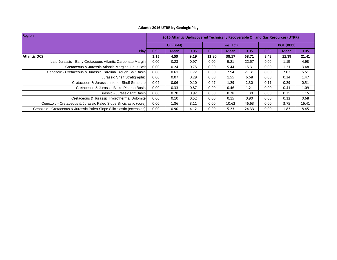| Region                                                                 | 2016 Atlantic Undiscovered Technically Recoverable Oil and Gas Resources (UTRR) |             |      |           |             |       |                   |             |       |
|------------------------------------------------------------------------|---------------------------------------------------------------------------------|-------------|------|-----------|-------------|-------|-------------------|-------------|-------|
|                                                                        |                                                                                 | Oil (Bbbl)  |      | Gas (Tcf) |             |       | <b>BOE (Bbbl)</b> |             |       |
| Play                                                                   | 0.95                                                                            | <b>Mean</b> | 0.05 | 0.95      | <b>Mean</b> | 0.05  | 0.95              | <b>Mean</b> | 0.05  |
| <b>Atlantic OCS</b>                                                    | 1.15                                                                            | 4.59        | 9.19 | 12.80     | 38.17       | 68.71 | 3.43              | 11.39       | 21.41 |
| Late Jurassic - Early Cretaceous Atlantic Carbonate Margin             | 0.00                                                                            | 0.23        | 0.97 | 0.00      | 5.21        | 22.57 | 0.00              | 1.15        | 4.98  |
| Cretaceous & Jurassic Atlantic Marginal Fault Belt                     | 0.00                                                                            | 0.24        | 0.75 | 0.00      | 5.44        | 15.31 | 0.00              | 1.21        | 3.48  |
| Cenozoic - Cretaceous & Jurassic Carolina Trough Salt Basin            | 0.00                                                                            | 0.61        | 1.72 | 0.00      | 7.94        | 21.31 | 0.00              | 2.02        | 5.51  |
| Jurassic Shelf Stratigraphic                                           | 0.00                                                                            | 0.07        | 0.29 | 0.00      | 1.55        | 6.68  | 0.00              | 0.34        | 1.47  |
| Cretaceous & Jurassic Interior Shelf Structure                         | 0.02                                                                            | 0.06        | 0.10 | 0.47      | 1.29        | 2.30  | 0.11              | 0.29        | 0.51  |
| Cretaceous & Jurassic Blake Plateau Basin                              | 0.00                                                                            | 0.33        | 0.87 | 0.00      | 0.46        | 1.21  | 0.00              | 0.41        | 1.09  |
| Triassic - Jurassic Rift Basin                                         | 0.00                                                                            | 0.20        | 0.92 | 0.00      | 0.28        | 1.30  | 0.00              | 0.25        | 1.15  |
| Cretaceous & Jurassic Hydrothermal Dolomite                            | 0.00                                                                            | 0.10        | 0.52 | 0.00      | 0.15        | 0.90  | 0.00              | 0.12        | 0.68  |
| Cenozoic - Cretaceous & Jurassic Paleo Slope Siliciclastic (core)      | 0.00                                                                            | 1.86        | 8.11 | 0.00      | 10.62       | 46.63 | 0.00              | 3.75        | 16.41 |
| Cenozoic - Cretaceous & Jurassic Paleo Slope Siliciclastic (extension) | 0.00                                                                            | 0.90        | 4.12 | 0.00      | 5.23        | 24.33 | 0.00              | 1.83        | 8.45  |

## **Atlantic 2016 UTRR by Geologic Play**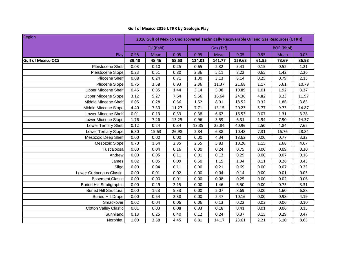| Region                           | 2016 Gulf of Mexico Undiscovered Technically Recoverable Oil and Gas Resources (UTRR) |            |       |        |           |        |                   |       |       |  |
|----------------------------------|---------------------------------------------------------------------------------------|------------|-------|--------|-----------|--------|-------------------|-------|-------|--|
|                                  |                                                                                       | Oil (Bbbl) |       |        | Gas (Tcf) |        | <b>BOE (Bbbl)</b> |       |       |  |
| Play                             | 0.95                                                                                  | Mean       | 0.05  | 0.95   | Mean      | 0.05   | 0.95              | Mean  | 0.05  |  |
| <b>Gulf of Mexico OCS</b>        | 39.48                                                                                 | 48.46      | 58.53 | 124.01 | 141.77    | 159.63 | 61.55             | 73.69 | 86.93 |  |
| Pleistocene Shelf                | 0.03                                                                                  | 0.10       | 0.25  | 0.65   | 2.32      | 5.41   | 0.15              | 0.52  | 1.21  |  |
| Pleistocene Slope                | 0.23                                                                                  | 0.51       | 0.80  | 2.36   | 5.11      | 8.22   | 0.65              | 1.42  | 2.26  |  |
| <b>Pliocene Shelf</b>            | 0.08                                                                                  | 0.24       | 0.71  | 1.00   | 3.13      | 8.14   | 0.25              | 0.79  | 2.15  |  |
| Pliocene Slope                   | 0.75                                                                                  | 3.58       | 6.93  | 2.36   | 11.37     | 21.68  | 1.17              | 5.61  | 10.79 |  |
| <b>Upper Miocene Shelf</b>       | 0.45                                                                                  | 0.85       | 1.44  | 3.14   | 5.98      | 10.89  | 1.01              | 1.92  | 3.37  |  |
| <b>Upper Miocene Slope</b>       | 3.12                                                                                  | 5.27       | 7.64  | 9.56   | 16.64     | 24.36  | 4.82              | 8.23  | 11.97 |  |
| Middle Miocene Shelf             | 0.05                                                                                  | 0.28       | 0.56  | 1.52   | 8.91      | 18.52  | 0.32              | 1.86  | 3.85  |  |
| Middle Miocene Slope             | 4.40                                                                                  | 7.39       | 11.27 | 7.71   | 13.15     | 20.23  | 5.77              | 9.73  | 14.87 |  |
| Lower Miocene Shelf              | 0.01                                                                                  | 0.13       | 0.33  | 0.38   | 6.62      | 16.53  | 0.07              | 1.31  | 3.28  |  |
| Lower Miocene Slope              | 1.76                                                                                  | 7.26       | 13.25 | 0.96   | 3.59      | 6.31   | 1.94              | 7.90  | 14.37 |  |
| Lower Tertiary Shelf             | 0.12                                                                                  | 0.24       | 0.34  | 13.35  | 25.84     | 40.96  | 2.50              | 4.84  | 7.62  |  |
| Lower Tertiary Slope             | 6.80                                                                                  | 15.63      | 26.98 | 2.84   | 6.38      | 10.48  | 7.31              | 16.76 | 28.84 |  |
| Mesozoic Deep Shelf              | 0.00                                                                                  | 0.00       | 0.00  | 0.00   | 4.34      | 18.62  | 0.00              | 0.77  | 3.32  |  |
| Mesozoic Slope                   | 0.70                                                                                  | 1.64       | 2.85  | 2.55   | 5.83      | 10.20  | 1.15              | 2.68  | 4.67  |  |
| Tuscaloosa                       | 0.00                                                                                  | 0.04       | 0.16  | 0.00   | 0.24      | 0.75   | 0.00              | 0.09  | 0.30  |  |
| Andrew                           | 0.00                                                                                  | 0.05       | 0.11  | 0.01   | 0.12      | 0.29   | 0.00              | 0.07  | 0.16  |  |
| James                            | 0.02                                                                                  | 0.05       | 0.09  | 0.50   | 1.15      | 1.94   | 0.11              | 0.26  | 0.43  |  |
| Sligo                            | 0.00                                                                                  | 0.04       | 0.11  | 0.00   | 0.21      | 0.69   | 0.00              | 0.07  | 0.23  |  |
| Lower Cretaceous Clastic         | 0.00                                                                                  | 0.01       | 0.02  | 0.00   | 0.04      | 0.14   | 0.00              | 0.01  | 0.05  |  |
| <b>Basement Clastic</b>          | 0.00                                                                                  | 0.00       | 0.01  | 0.00   | 0.08      | 0.25   | 0.00              | 0.02  | 0.06  |  |
| <b>Buried Hill Stratigraphic</b> | 0.00                                                                                  | 0.49       | 2.15  | 0.00   | 1.46      | 6.50   | 0.00              | 0.75  | 3.31  |  |
| <b>Buried Hill Structural</b>    | 0.00                                                                                  | 1.23       | 5.33  | 0.00   | 2.07      | 8.69   | 0.00              | 1.60  | 6.88  |  |
| <b>Buried Hill Drape</b>         | 0.00                                                                                  | 0.54       | 2.38  | 0.00   | 2.47      | 10.16  | 0.00              | 0.98  | 4.19  |  |
| Smackover                        | 0.02                                                                                  | 0.04       | 0.06  | 0.06   | 0.13      | 0.22   | 0.03              | 0.06  | 0.10  |  |
| <b>Cotton Valley Clastic</b>     | 0.01                                                                                  | 0.03       | 0.08  | 0.03   | 0.18      | 0.41   | 0.01              | 0.06  | 0.15  |  |
| Sunniland                        | 0.13                                                                                  | 0.25       | 0.40  | 0.12   | 0.24      | 0.37   | 0.15              | 0.29  | 0.47  |  |
| Norphlet                         | 1.00                                                                                  | 2.58       | 4.45  | 6.81   | 14.17     | 23.61  | 2.21              | 5.10  | 8.65  |  |

# **Gulf of Mexico 2016 UTRR by Geologic Play**